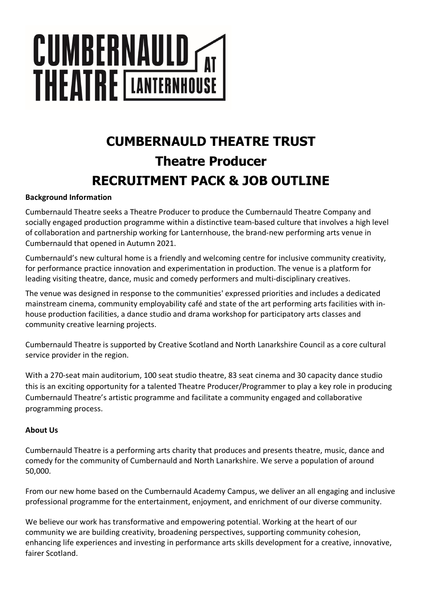# **CUMBERNAULD TAT**

# **CUMBERNAULD THEATRE TRUST Theatre Producer RECRUITMENT PACK & JOB OUTLINE**

# **Background Information**

Cumbernauld Theatre seeks a Theatre Producer to produce the Cumbernauld Theatre Company and socially engaged production programme within a distinctive team-based culture that involves a high level of collaboration and partnership working for Lanternhouse, the brand-new performing arts venue in Cumbernauld that opened in Autumn 2021.

Cumbernauld's new cultural home is a friendly and welcoming centre for inclusive community creativity, for performance practice innovation and experimentation in production. The venue is a platform for leading visiting theatre, dance, music and comedy performers and multi-disciplinary creatives.

The venue was designed in response to the communities' expressed priorities and includes a dedicated mainstream cinema, community employability café and state of the art performing arts facilities with inhouse production facilities, a dance studio and drama workshop for participatory arts classes and community creative learning projects.

Cumbernauld Theatre is supported by Creative Scotland and North Lanarkshire Council as a core cultural service provider in the region.

With a 270-seat main auditorium, 100 seat studio theatre, 83 seat cinema and 30 capacity dance studio this is an exciting opportunity for a talented Theatre Producer/Programmer to play a key role in producing Cumbernauld Theatre's artistic programme and facilitate a community engaged and collaborative programming process.

# **About Us**

Cumbernauld Theatre is a performing arts charity that produces and presents theatre, music, dance and comedy for the community of Cumbernauld and North Lanarkshire. We serve a population of around 50,000.

From our new home based on the Cumbernauld Academy Campus, we deliver an all engaging and inclusive professional programme for the entertainment, enjoyment, and enrichment of our diverse community.

We believe our work has transformative and empowering potential. Working at the heart of our community we are building creativity, broadening perspectives, supporting community cohesion, enhancing life experiences and investing in performance arts skills development for a creative, innovative, fairer Scotland.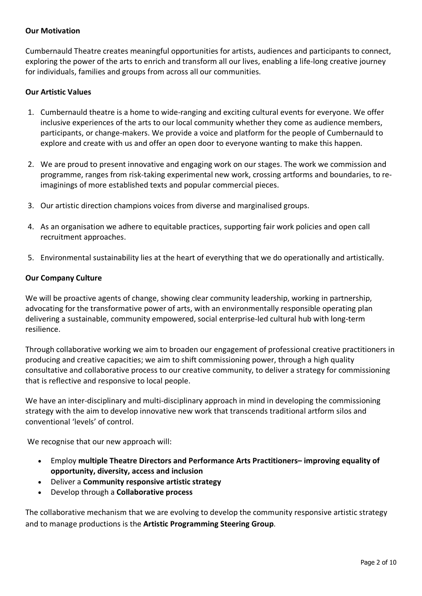# **Our Motivation**

Cumbernauld Theatre creates meaningful opportunities for artists, audiences and participants to connect, exploring the power of the arts to enrich and transform all our lives, enabling a life-long creative journey for individuals, families and groups from across all our communities.

# **Our Artistic Values**

- 1. Cumbernauld theatre is a home to wide-ranging and exciting cultural events for everyone. We offer inclusive experiences of the arts to our local community whether they come as audience members, participants, or change-makers. We provide a voice and platform for the people of Cumbernauld to explore and create with us and offer an open door to everyone wanting to make this happen.
- 2. We are proud to present innovative and engaging work on our stages. The work we commission and programme, ranges from risk-taking experimental new work, crossing artforms and boundaries, to reimaginings of more established texts and popular commercial pieces.
- 3. Our artistic direction champions voices from diverse and marginalised groups.
- 4. As an organisation we adhere to equitable practices, supporting fair work policies and open call recruitment approaches.
- 5. Environmental sustainability lies at the heart of everything that we do operationally and artistically.

### **Our Company Culture**

We will be proactive agents of change, showing clear community leadership, working in partnership, advocating for the transformative power of arts, with an environmentally responsible operating plan delivering a sustainable, community empowered, social enterprise-led cultural hub with long-term resilience.

Through collaborative working we aim to broaden our engagement of professional creative practitioners in producing and creative capacities; we aim to shift commissioning power, through a high quality consultative and collaborative process to our creative community, to deliver a strategy for commissioning that is reflective and responsive to local people.

We have an inter-disciplinary and multi-disciplinary approach in mind in developing the commissioning strategy with the aim to develop innovative new work that transcends traditional artform silos and conventional 'levels' of control.

We recognise that our new approach will:

- Employ **multiple Theatre Directors and Performance Arts Practitioners– improving equality of opportunity, diversity, access and inclusion**
- Deliver a **Community responsive artistic strategy**
- Develop through a **Collaborative process**

The collaborative mechanism that we are evolving to develop the community responsive artistic strategy and to manage productions is the **Artistic Programming Steering Group**.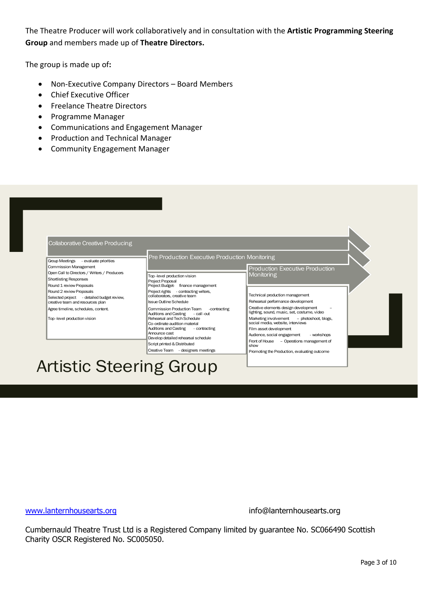The Theatre Producer will work collaboratively and in consultation with the **Artistic Programming Steering Group** and members made up of **Theatre Directors.** 

The group is made up of**:**

- Non-Executive Company Directors Board Members
- Chief Executive Officer
- Freelance Theatre Directors
- Programme Manager
- Communications and Engagement Manager
- Production and Technical Manager
- Community Engagement Manager



www.lanternhousearts.org info@lanternhousearts.org

Cumbernauld Theatre Trust Ltd is a Registered Company limited by guarantee No. SC066490 Scottish Charity OSCR Registered No. SC005050.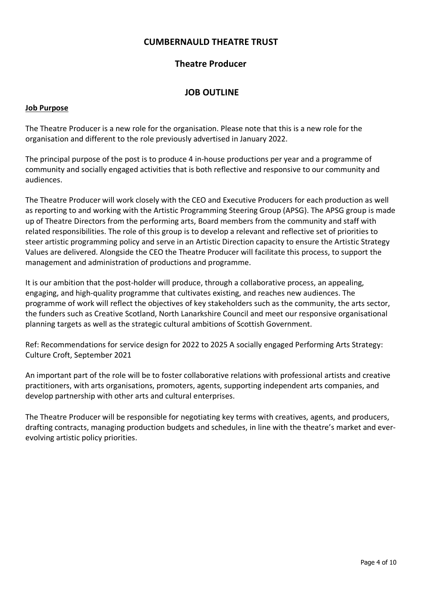# **CUMBERNAULD THEATRE TRUST**

# **Theatre Producer**

# **JOB OUTLINE**

#### **Job Purpose**

The Theatre Producer is a new role for the organisation. Please note that this is a new role for the organisation and different to the role previously advertised in January 2022.

The principal purpose of the post is to produce 4 in-house productions per year and a programme of community and socially engaged activities that is both reflective and responsive to our community and audiences.

The Theatre Producer will work closely with the CEO and Executive Producers for each production as well as reporting to and working with the Artistic Programming Steering Group (APSG). The APSG group is made up of Theatre Directors from the performing arts, Board members from the community and staff with related responsibilities. The role of this group is to develop a relevant and reflective set of priorities to steer artistic programming policy and serve in an Artistic Direction capacity to ensure the Artistic Strategy Values are delivered. Alongside the CEO the Theatre Producer will facilitate this process, to support the management and administration of productions and programme.

It is our ambition that the post-holder will produce, through a collaborative process, an appealing, engaging, and high-quality programme that cultivates existing, and reaches new audiences. The programme of work will reflect the objectives of key stakeholders such as the community, the arts sector, the funders such as Creative Scotland, North Lanarkshire Council and meet our responsive organisational planning targets as well as the strategic cultural ambitions of Scottish Government.

Ref: Recommendations for service design for 2022 to 2025 A socially engaged Performing Arts Strategy: Culture Croft, September 2021

An important part of the role will be to foster collaborative relations with professional artists and creative practitioners, with arts organisations, promoters, agents, supporting independent arts companies, and develop partnership with other arts and cultural enterprises.

The Theatre Producer will be responsible for negotiating key terms with creatives, agents, and producers, drafting contracts, managing production budgets and schedules, in line with the theatre's market and everevolving artistic policy priorities.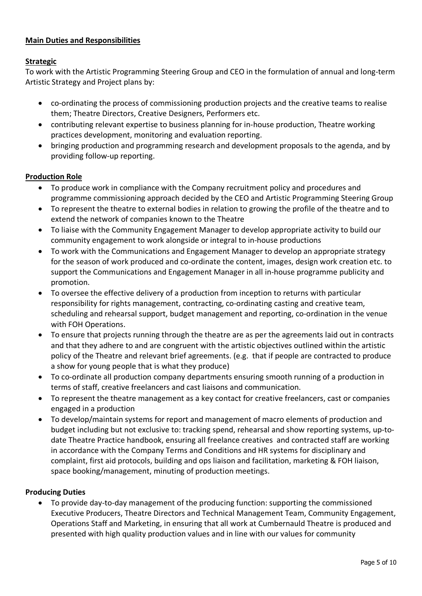# **Main Duties and Responsibilities**

# **Strategic**

To work with the Artistic Programming Steering Group and CEO in the formulation of annual and long-term Artistic Strategy and Project plans by:

- co-ordinating the process of commissioning production projects and the creative teams to realise them; Theatre Directors, Creative Designers, Performers etc.
- contributing relevant expertise to business planning for in-house production, Theatre working practices development, monitoring and evaluation reporting.
- bringing production and programming research and development proposals to the agenda, and by providing follow-up reporting.

# **Production Role**

- To produce work in compliance with the Company recruitment policy and procedures and programme commissioning approach decided by the CEO and Artistic Programming Steering Group
- To represent the theatre to external bodies in relation to growing the profile of the theatre and to extend the network of companies known to the Theatre
- To liaise with the Community Engagement Manager to develop appropriate activity to build our community engagement to work alongside or integral to in-house productions
- To work with the Communications and Engagement Manager to develop an appropriate strategy for the season of work produced and co-ordinate the content, images, design work creation etc. to support the Communications and Engagement Manager in all in-house programme publicity and promotion.
- To oversee the effective delivery of a production from inception to returns with particular responsibility for rights management, contracting, co-ordinating casting and creative team, scheduling and rehearsal support, budget management and reporting, co-ordination in the venue with FOH Operations.
- To ensure that projects running through the theatre are as per the agreements laid out in contracts and that they adhere to and are congruent with the artistic objectives outlined within the artistic policy of the Theatre and relevant brief agreements. (e.g. that if people are contracted to produce a show for young people that is what they produce)
- To co-ordinate all production company departments ensuring smooth running of a production in terms of staff, creative freelancers and cast liaisons and communication.
- To represent the theatre management as a key contact for creative freelancers, cast or companies engaged in a production
- To develop/maintain systems for report and management of macro elements of production and budget including but not exclusive to: tracking spend, rehearsal and show reporting systems, up-todate Theatre Practice handbook, ensuring all freelance creatives and contracted staff are working in accordance with the Company Terms and Conditions and HR systems for disciplinary and complaint, first aid protocols, building and ops liaison and facilitation, marketing & FOH liaison, space booking/management, minuting of production meetings.

### **Producing Duties**

• To provide day-to-day management of the producing function: supporting the commissioned Executive Producers, Theatre Directors and Technical Management Team, Community Engagement, Operations Staff and Marketing, in ensuring that all work at Cumbernauld Theatre is produced and presented with high quality production values and in line with our values for community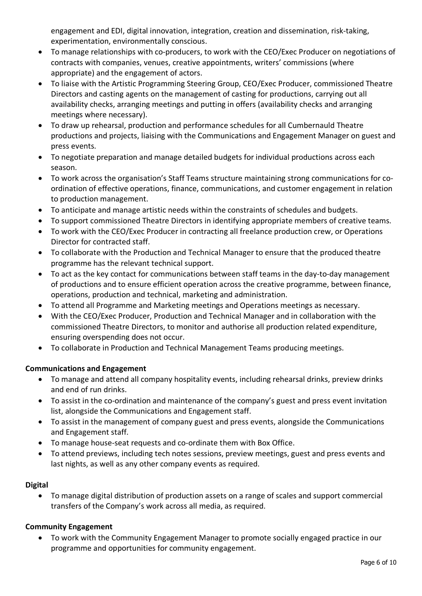engagement and EDI, digital innovation, integration, creation and dissemination, risk-taking, experimentation, environmentally conscious.

- To manage relationships with co-producers, to work with the CEO/Exec Producer on negotiations of contracts with companies, venues, creative appointments, writers' commissions (where appropriate) and the engagement of actors.
- To liaise with the Artistic Programming Steering Group, CEO/Exec Producer, commissioned Theatre Directors and casting agents on the management of casting for productions, carrying out all availability checks, arranging meetings and putting in offers (availability checks and arranging meetings where necessary).
- To draw up rehearsal, production and performance schedules for all Cumbernauld Theatre productions and projects, liaising with the Communications and Engagement Manager on guest and press events.
- To negotiate preparation and manage detailed budgets for individual productions across each season.
- To work across the organisation's Staff Teams structure maintaining strong communications for coordination of effective operations, finance, communications, and customer engagement in relation to production management.
- To anticipate and manage artistic needs within the constraints of schedules and budgets.
- To support commissioned Theatre Directors in identifying appropriate members of creative teams.
- To work with the CEO/Exec Producer in contracting all freelance production crew, or Operations Director for contracted staff.
- To collaborate with the Production and Technical Manager to ensure that the produced theatre programme has the relevant technical support.
- To act as the key contact for communications between staff teams in the day-to-day management of productions and to ensure efficient operation across the creative programme, between finance, operations, production and technical, marketing and administration.
- To attend all Programme and Marketing meetings and Operations meetings as necessary.
- With the CEO/Exec Producer, Production and Technical Manager and in collaboration with the commissioned Theatre Directors, to monitor and authorise all production related expenditure, ensuring overspending does not occur.
- To collaborate in Production and Technical Management Teams producing meetings.

# **Communications and Engagement**

- To manage and attend all company hospitality events, including rehearsal drinks, preview drinks and end of run drinks.
- To assist in the co-ordination and maintenance of the company's guest and press event invitation list, alongside the Communications and Engagement staff.
- To assist in the management of company guest and press events, alongside the Communications and Engagement staff.
- To manage house-seat requests and co-ordinate them with Box Office.
- To attend previews, including tech notes sessions, preview meetings, guest and press events and last nights, as well as any other company events as required.

# **Digital**

• To manage digital distribution of production assets on a range of scales and support commercial transfers of the Company's work across all media, as required.

# **Community Engagement**

• To work with the Community Engagement Manager to promote socially engaged practice in our programme and opportunities for community engagement.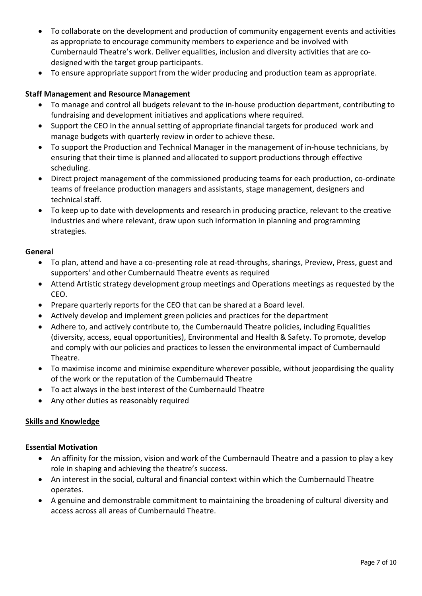- To collaborate on the development and production of community engagement events and activities as appropriate to encourage community members to experience and be involved with Cumbernauld Theatre's work. Deliver equalities, inclusion and diversity activities that are codesigned with the target group participants.
- To ensure appropriate support from the wider producing and production team as appropriate.

# **Staff Management and Resource Management**

- To manage and control all budgets relevant to the in-house production department, contributing to fundraising and development initiatives and applications where required.
- Support the CEO in the annual setting of appropriate financial targets for produced work and manage budgets with quarterly review in order to achieve these.
- To support the Production and Technical Manager in the management of in-house technicians, by ensuring that their time is planned and allocated to support productions through effective scheduling.
- Direct project management of the commissioned producing teams for each production, co-ordinate teams of freelance production managers and assistants, stage management, designers and technical staff.
- To keep up to date with developments and research in producing practice, relevant to the creative industries and where relevant, draw upon such information in planning and programming strategies.

### **General**

- To plan, attend and have a co-presenting role at read-throughs, sharings, Preview, Press, guest and supporters' and other Cumbernauld Theatre events as required
- Attend Artistic strategy development group meetings and Operations meetings as requested by the CEO.
- Prepare quarterly reports for the CEO that can be shared at a Board level.
- Actively develop and implement green policies and practices for the department
- Adhere to, and actively contribute to, the Cumbernauld Theatre policies, including Equalities (diversity, access, equal opportunities), Environmental and Health & Safety. To promote, develop and comply with our policies and practices to lessen the environmental impact of Cumbernauld Theatre.
- To maximise income and minimise expenditure wherever possible, without jeopardising the quality of the work or the reputation of the Cumbernauld Theatre
- To act always in the best interest of the Cumbernauld Theatre
- Any other duties as reasonably required

# **Skills and Knowledge**

### **Essential Motivation**

- An affinity for the mission, vision and work of the Cumbernauld Theatre and a passion to play a key role in shaping and achieving the theatre's success.
- An interest in the social, cultural and financial context within which the Cumbernauld Theatre operates.
- A genuine and demonstrable commitment to maintaining the broadening of cultural diversity and access across all areas of Cumbernauld Theatre.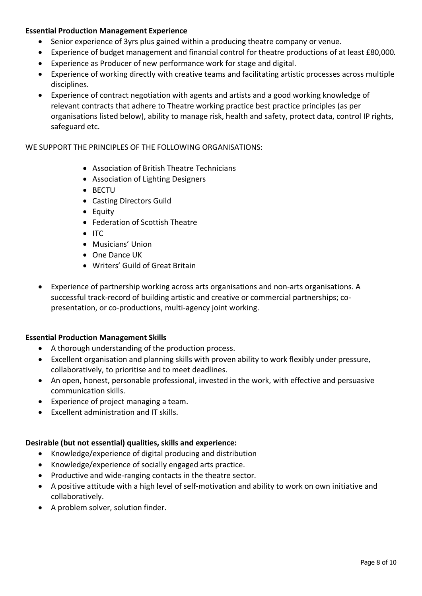# **Essential Production Management Experience**

- Senior experience of 3yrs plus gained within a producing theatre company or venue.
- Experience of budget management and financial control for theatre productions of at least £80,000*.*
- Experience as Producer of new performance work for stage and digital.
- Experience of working directly with creative teams and facilitating artistic processes across multiple disciplines.
- Experience of contract negotiation with agents and artists and a good working knowledge of relevant contracts that adhere to Theatre working practice best practice principles (as per organisations listed below), ability to manage risk, health and safety, protect data, control IP rights, safeguard etc.

## WE SUPPORT THE PRINCIPLES OF THE FOLLOWING ORGANISATIONS:

- Association of British Theatre Technicians
- Association of Lighting Designers
- BECTU
- Casting Directors Guild
- Equity
- Federation of Scottish Theatre
- ITC
- Musicians' Union
- One Dance UK
- Writers' Guild of Great Britain
- Experience of partnership working across arts organisations and non-arts organisations. A successful track-record of building artistic and creative or commercial partnerships; copresentation, or co-productions, multi-agency joint working.

### **Essential Production Management Skills**

- A thorough understanding of the production process.
- Excellent organisation and planning skills with proven ability to work flexibly under pressure, collaboratively, to prioritise and to meet deadlines.
- An open, honest, personable professional, invested in the work, with effective and persuasive communication skills.
- Experience of project managing a team.
- Excellent administration and IT skills.

### **Desirable (but not essential) qualities, skills and experience:**

- Knowledge/experience of digital producing and distribution
- Knowledge/experience of socially engaged arts practice.
- Productive and wide-ranging contacts in the theatre sector.
- A positive attitude with a high level of self-motivation and ability to work on own initiative and collaboratively.
- A problem solver, solution finder.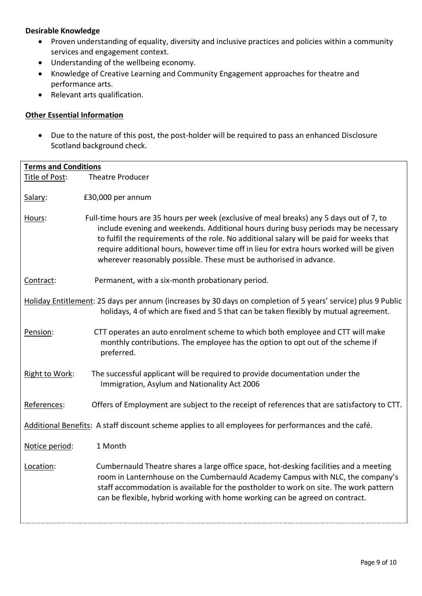# **Desirable Knowledge**

- Proven understanding of equality, diversity and inclusive practices and policies within a community services and engagement context.
- Understanding of the wellbeing economy.
- Knowledge of Creative Learning and Community Engagement approaches for theatre and performance arts.
- Relevant arts qualification.

# **Other Essential Information**

• Due to the nature of this post, the post-holder will be required to pass an enhanced Disclosure Scotland background check.

| <b>Terms and Conditions</b>                                                                                                                                                                           |                                                                                                                                                                                                                                                                                                                                                                                                                                              |
|-------------------------------------------------------------------------------------------------------------------------------------------------------------------------------------------------------|----------------------------------------------------------------------------------------------------------------------------------------------------------------------------------------------------------------------------------------------------------------------------------------------------------------------------------------------------------------------------------------------------------------------------------------------|
| Title of Post:                                                                                                                                                                                        | <b>Theatre Producer</b>                                                                                                                                                                                                                                                                                                                                                                                                                      |
|                                                                                                                                                                                                       |                                                                                                                                                                                                                                                                                                                                                                                                                                              |
| Salary:                                                                                                                                                                                               | £30,000 per annum                                                                                                                                                                                                                                                                                                                                                                                                                            |
| Hours:                                                                                                                                                                                                | Full-time hours are 35 hours per week (exclusive of meal breaks) any 5 days out of 7, to<br>include evening and weekends. Additional hours during busy periods may be necessary<br>to fulfil the requirements of the role. No additional salary will be paid for weeks that<br>require additional hours, however time off in lieu for extra hours worked will be given<br>wherever reasonably possible. These must be authorised in advance. |
| Contract:                                                                                                                                                                                             | Permanent, with a six-month probationary period.                                                                                                                                                                                                                                                                                                                                                                                             |
| Holiday Entitlement: 25 days per annum (increases by 30 days on completion of 5 years' service) plus 9 Public<br>holidays, 4 of which are fixed and 5 that can be taken flexibly by mutual agreement. |                                                                                                                                                                                                                                                                                                                                                                                                                                              |
| Pension:                                                                                                                                                                                              | CTT operates an auto enrolment scheme to which both employee and CTT will make<br>monthly contributions. The employee has the option to opt out of the scheme if<br>preferred.                                                                                                                                                                                                                                                               |
| Right to Work:                                                                                                                                                                                        | The successful applicant will be required to provide documentation under the<br>Immigration, Asylum and Nationality Act 2006                                                                                                                                                                                                                                                                                                                 |
| References:                                                                                                                                                                                           | Offers of Employment are subject to the receipt of references that are satisfactory to CTT.                                                                                                                                                                                                                                                                                                                                                  |
|                                                                                                                                                                                                       | Additional Benefits: A staff discount scheme applies to all employees for performances and the café.                                                                                                                                                                                                                                                                                                                                         |
| Notice period:                                                                                                                                                                                        | 1 Month                                                                                                                                                                                                                                                                                                                                                                                                                                      |
| Location:                                                                                                                                                                                             | Cumbernauld Theatre shares a large office space, hot-desking facilities and a meeting<br>room in Lanternhouse on the Cumbernauld Academy Campus with NLC, the company's<br>staff accommodation is available for the postholder to work on site. The work pattern<br>can be flexible, hybrid working with home working can be agreed on contract.                                                                                             |